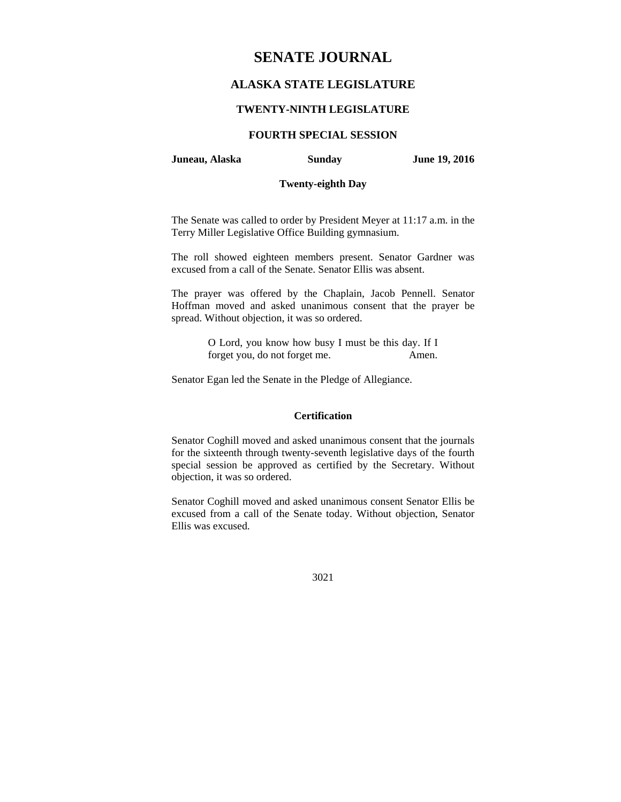# **SENATE JOURNAL**

# **ALASKA STATE LEGISLATURE**

### **TWENTY-NINTH LEGISLATURE**

# **FOURTH SPECIAL SESSION**

### **Juneau, Alaska Sunday June 19, 2016**

### **Twenty-eighth Day**

The Senate was called to order by President Meyer at 11:17 a.m. in the Terry Miller Legislative Office Building gymnasium.

The roll showed eighteen members present. Senator Gardner was excused from a call of the Senate. Senator Ellis was absent.

The prayer was offered by the Chaplain, Jacob Pennell. Senator Hoffman moved and asked unanimous consent that the prayer be spread. Without objection, it was so ordered.

> O Lord, you know how busy I must be this day. If I forget you, do not forget me. Amen.

Senator Egan led the Senate in the Pledge of Allegiance.

### **Certification**

Senator Coghill moved and asked unanimous consent that the journals for the sixteenth through twenty-seventh legislative days of the fourth special session be approved as certified by the Secretary. Without objection, it was so ordered.

Senator Coghill moved and asked unanimous consent Senator Ellis be excused from a call of the Senate today. Without objection, Senator Ellis was excused.

3021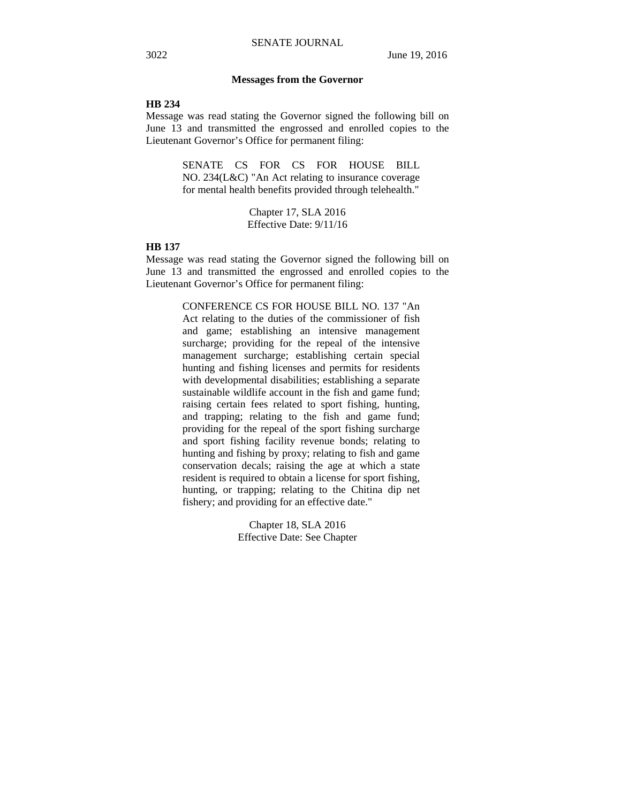### **Messages from the Governor**

#### **HB 234**

Message was read stating the Governor signed the following bill on June 13 and transmitted the engrossed and enrolled copies to the Lieutenant Governor's Office for permanent filing:

> SENATE CS FOR CS FOR HOUSE BILL NO. 234(L&C) "An Act relating to insurance coverage for mental health benefits provided through telehealth."

> > Chapter 17, SLA 2016 Effective Date: 9/11/16

### **HB 137**

Message was read stating the Governor signed the following bill on June 13 and transmitted the engrossed and enrolled copies to the Lieutenant Governor's Office for permanent filing:

> CONFERENCE CS FOR HOUSE BILL NO. 137 "An Act relating to the duties of the commissioner of fish and game; establishing an intensive management surcharge; providing for the repeal of the intensive management surcharge; establishing certain special hunting and fishing licenses and permits for residents with developmental disabilities; establishing a separate sustainable wildlife account in the fish and game fund; raising certain fees related to sport fishing, hunting, and trapping; relating to the fish and game fund; providing for the repeal of the sport fishing surcharge and sport fishing facility revenue bonds; relating to hunting and fishing by proxy; relating to fish and game conservation decals; raising the age at which a state resident is required to obtain a license for sport fishing, hunting, or trapping; relating to the Chitina dip net fishery; and providing for an effective date."

> > Chapter 18, SLA 2016 Effective Date: See Chapter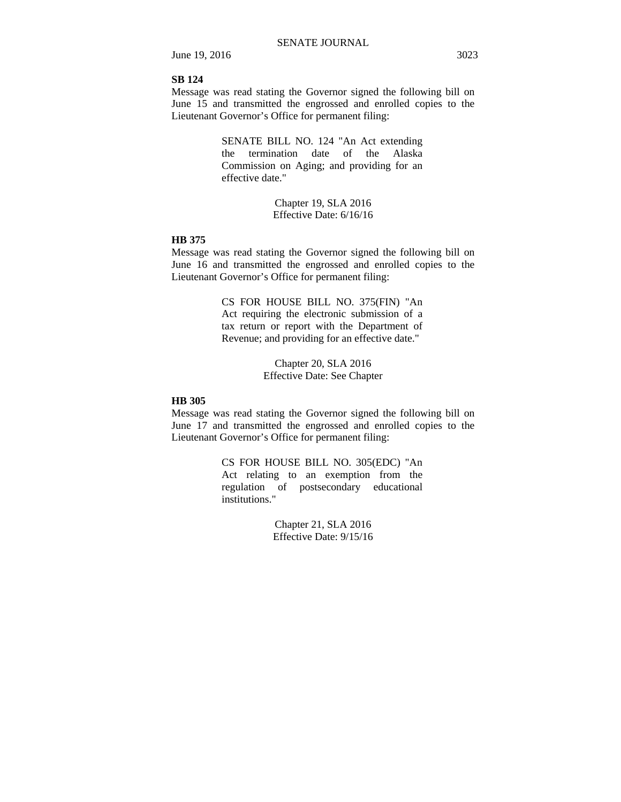June 19, 2016 3023

### **SB 124**

Message was read stating the Governor signed the following bill on June 15 and transmitted the engrossed and enrolled copies to the Lieutenant Governor's Office for permanent filing:

> SENATE BILL NO. 124 "An Act extending the termination date of the Alaska Commission on Aging; and providing for an effective date."

> > Chapter 19, SLA 2016 Effective Date: 6/16/16

# **HB 375**

Message was read stating the Governor signed the following bill on June 16 and transmitted the engrossed and enrolled copies to the Lieutenant Governor's Office for permanent filing:

> CS FOR HOUSE BILL NO. 375(FIN) "An Act requiring the electronic submission of a tax return or report with the Department of Revenue; and providing for an effective date."

> > Chapter 20, SLA 2016 Effective Date: See Chapter

# **HB 305**

Message was read stating the Governor signed the following bill on June 17 and transmitted the engrossed and enrolled copies to the Lieutenant Governor's Office for permanent filing:

> CS FOR HOUSE BILL NO. 305(EDC) "An Act relating to an exemption from the regulation of postsecondary educational institutions."

> > Chapter 21, SLA 2016 Effective Date: 9/15/16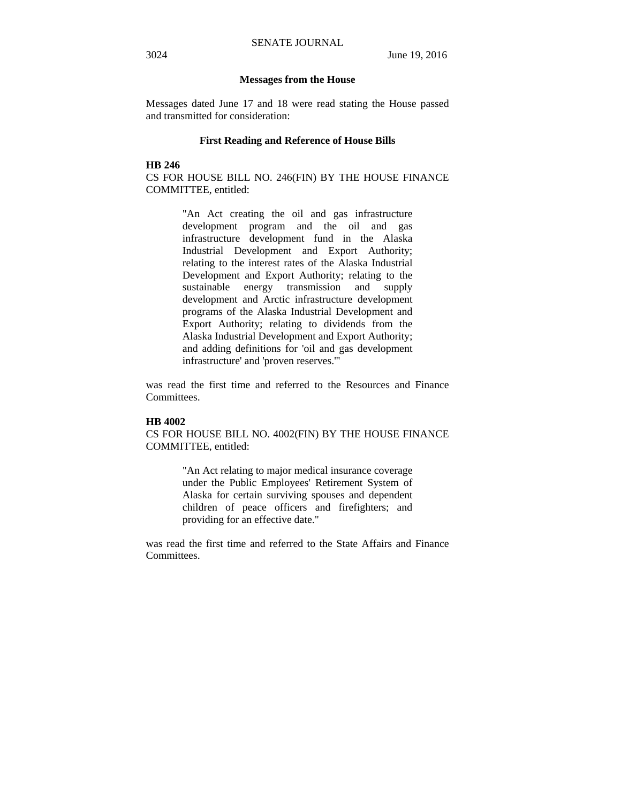#### **Messages from the House**

Messages dated June 17 and 18 were read stating the House passed and transmitted for consideration:

### **First Reading and Reference of House Bills**

**HB 246** 

CS FOR HOUSE BILL NO. 246(FIN) BY THE HOUSE FINANCE COMMITTEE, entitled:

> "An Act creating the oil and gas infrastructure development program and the oil and gas infrastructure development fund in the Alaska Industrial Development and Export Authority; relating to the interest rates of the Alaska Industrial Development and Export Authority; relating to the sustainable energy transmission and supply development and Arctic infrastructure development programs of the Alaska Industrial Development and Export Authority; relating to dividends from the Alaska Industrial Development and Export Authority; and adding definitions for 'oil and gas development infrastructure' and 'proven reserves.'"

was read the first time and referred to the Resources and Finance Committees.

#### **HB 4002**

CS FOR HOUSE BILL NO. 4002(FIN) BY THE HOUSE FINANCE COMMITTEE, entitled:

> "An Act relating to major medical insurance coverage under the Public Employees' Retirement System of Alaska for certain surviving spouses and dependent children of peace officers and firefighters; and providing for an effective date."

was read the first time and referred to the State Affairs and Finance Committees.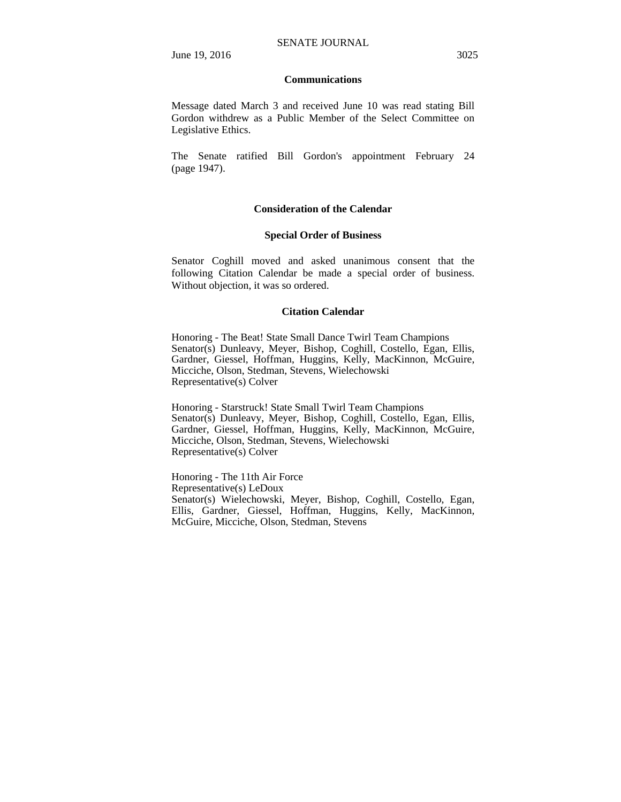### **Communications**

Message dated March 3 and received June 10 was read stating Bill Gordon withdrew as a Public Member of the Select Committee on Legislative Ethics.

The Senate ratified Bill Gordon's appointment February 24 (page 1947).

### **Consideration of the Calendar**

### **Special Order of Business**

Senator Coghill moved and asked unanimous consent that the following Citation Calendar be made a special order of business. Without objection, it was so ordered.

### **Citation Calendar**

Honoring - The Beat! State Small Dance Twirl Team Champions Senator(s) Dunleavy, Meyer, Bishop, Coghill, Costello, Egan, Ellis, Gardner, Giessel, Hoffman, Huggins, Kelly, MacKinnon, McGuire, Micciche, Olson, Stedman, Stevens, Wielechowski Representative(s) Colver

Honoring - Starstruck! State Small Twirl Team Champions Senator(s) Dunleavy, Meyer, Bishop, Coghill, Costello, Egan, Ellis, Gardner, Giessel, Hoffman, Huggins, Kelly, MacKinnon, McGuire, Micciche, Olson, Stedman, Stevens, Wielechowski Representative(s) Colver

Honoring - The 11th Air Force Representative(s) LeDoux Senator(s) Wielechowski, Meyer, Bishop, Coghill, Costello, Egan, Ellis, Gardner, Giessel, Hoffman, Huggins, Kelly, MacKinnon, McGuire, Micciche, Olson, Stedman, Stevens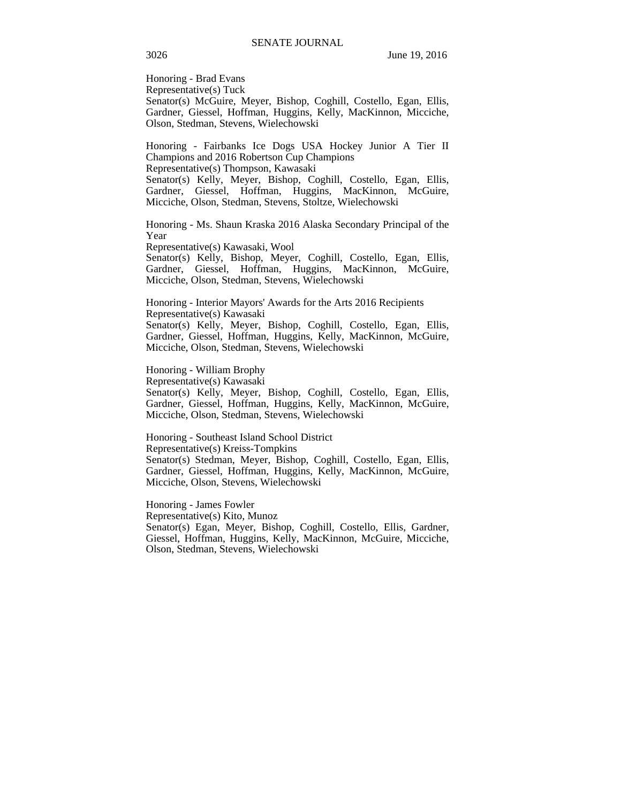Honoring - Brad Evans Representative(s) Tuck Senator(s) McGuire, Meyer, Bishop, Coghill, Costello, Egan, Ellis, Gardner, Giessel, Hoffman, Huggins, Kelly, MacKinnon, Micciche, Olson, Stedman, Stevens, Wielechowski

Honoring - Fairbanks Ice Dogs USA Hockey Junior A Tier II Champions and 2016 Robertson Cup Champions Representative(s) Thompson, Kawasaki Senator(s) Kelly, Meyer, Bishop, Coghill, Costello, Egan, Ellis, Gardner, Giessel, Hoffman, Huggins, MacKinnon, McGuire, Micciche, Olson, Stedman, Stevens, Stoltze, Wielechowski

Honoring - Ms. Shaun Kraska 2016 Alaska Secondary Principal of the Year

Representative(s) Kawasaki, Wool

Senator(s) Kelly, Bishop, Meyer, Coghill, Costello, Egan, Ellis, Gardner, Giessel, Hoffman, Huggins, MacKinnon, McGuire, Micciche, Olson, Stedman, Stevens, Wielechowski

Honoring - Interior Mayors' Awards for the Arts 2016 Recipients Representative(s) Kawasaki Senator(s) Kelly, Meyer, Bishop, Coghill, Costello, Egan, Ellis, Gardner, Giessel, Hoffman, Huggins, Kelly, MacKinnon, McGuire, Micciche, Olson, Stedman, Stevens, Wielechowski

Honoring - William Brophy

Representative(s) Kawasaki

Senator(s) Kelly, Meyer, Bishop, Coghill, Costello, Egan, Ellis, Gardner, Giessel, Hoffman, Huggins, Kelly, MacKinnon, McGuire, Micciche, Olson, Stedman, Stevens, Wielechowski

Honoring - Southeast Island School District

Representative(s) Kreiss-Tompkins

Senator(s) Stedman, Meyer, Bishop, Coghill, Costello, Egan, Ellis, Gardner, Giessel, Hoffman, Huggins, Kelly, MacKinnon, McGuire, Micciche, Olson, Stevens, Wielechowski

Honoring - James Fowler

Representative(s) Kito, Munoz Senator(s) Egan, Meyer, Bishop, Coghill, Costello, Ellis, Gardner, Giessel, Hoffman, Huggins, Kelly, MacKinnon, McGuire, Micciche, Olson, Stedman, Stevens, Wielechowski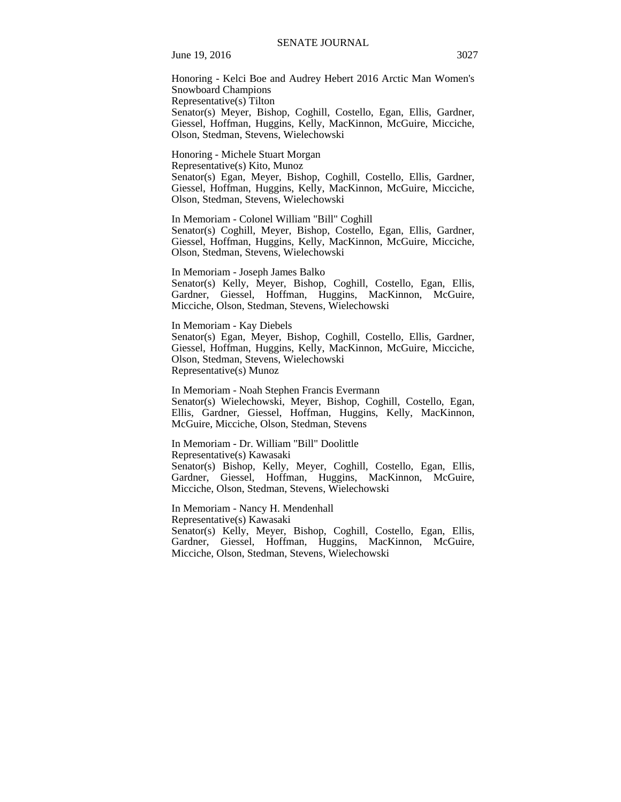June 19, 2016 3027

Honoring - Kelci Boe and Audrey Hebert 2016 Arctic Man Women's Snowboard Champions Representative(s) Tilton Senator(s) Meyer, Bishop, Coghill, Costello, Egan, Ellis, Gardner, Giessel, Hoffman, Huggins, Kelly, MacKinnon, McGuire, Micciche, Olson, Stedman, Stevens, Wielechowski

Honoring - Michele Stuart Morgan Representative(s) Kito, Munoz Senator(s) Egan, Meyer, Bishop, Coghill, Costello, Ellis, Gardner, Giessel, Hoffman, Huggins, Kelly, MacKinnon, McGuire, Micciche, Olson, Stedman, Stevens, Wielechowski

In Memoriam - Colonel William "Bill" Coghill Senator(s) Coghill, Meyer, Bishop, Costello, Egan, Ellis, Gardner,

Giessel, Hoffman, Huggins, Kelly, MacKinnon, McGuire, Micciche, Olson, Stedman, Stevens, Wielechowski

In Memoriam - Joseph James Balko Senator(s) Kelly, Meyer, Bishop, Coghill, Costello, Egan, Ellis, Gardner, Giessel, Hoffman, Huggins, MacKinnon, McGuire, Micciche, Olson, Stedman, Stevens, Wielechowski

In Memoriam - Kay Diebels Senator(s) Egan, Meyer, Bishop, Coghill, Costello, Ellis, Gardner, Giessel, Hoffman, Huggins, Kelly, MacKinnon, McGuire, Micciche, Olson, Stedman, Stevens, Wielechowski Representative(s) Munoz

In Memoriam - Noah Stephen Francis Evermann Senator(s) Wielechowski, Meyer, Bishop, Coghill, Costello, Egan, Ellis, Gardner, Giessel, Hoffman, Huggins, Kelly, MacKinnon, McGuire, Micciche, Olson, Stedman, Stevens

In Memoriam - Dr. William "Bill" Doolittle Representative(s) Kawasaki Senator(s) Bishop, Kelly, Meyer, Coghill, Costello, Egan, Ellis, Gardner, Giessel, Hoffman, Huggins, MacKinnon, McGuire, Micciche, Olson, Stedman, Stevens, Wielechowski

In Memoriam - Nancy H. Mendenhall Representative(s) Kawasaki Senator(s) Kelly, Meyer, Bishop, Coghill, Costello, Egan, Ellis, Gardner, Giessel, Hoffman, Huggins, MacKinnon, McGuire, Micciche, Olson, Stedman, Stevens, Wielechowski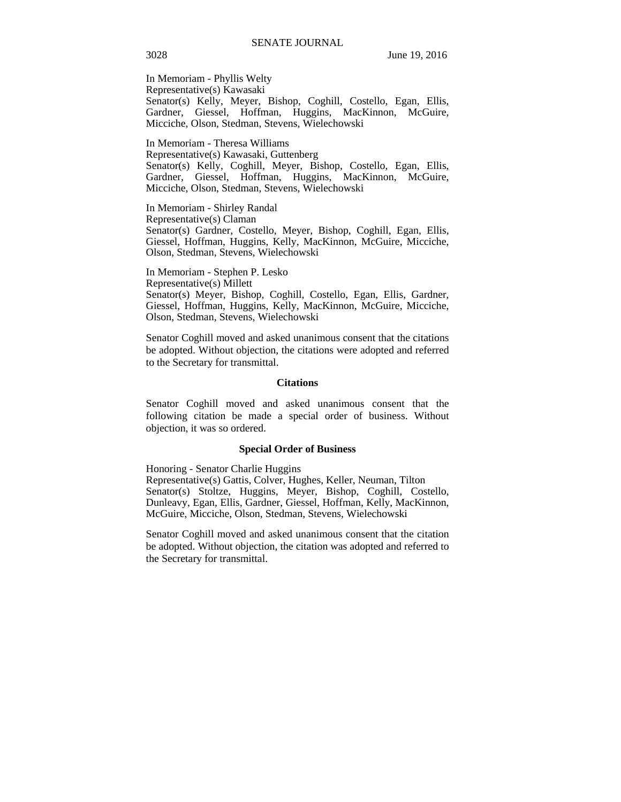In Memoriam - Phyllis Welty Representative(s) Kawasaki Senator(s) Kelly, Meyer, Bishop, Coghill, Costello, Egan, Ellis, Gardner, Giessel, Hoffman, Huggins, MacKinnon, McGuire, Micciche, Olson, Stedman, Stevens, Wielechowski

In Memoriam - Theresa Williams Representative(s) Kawasaki, Guttenberg Senator(s) Kelly, Coghill, Meyer, Bishop, Costello, Egan, Ellis, Gardner, Giessel, Hoffman, Huggins, MacKinnon, McGuire, Micciche, Olson, Stedman, Stevens, Wielechowski

In Memoriam - Shirley Randal Representative(s) Claman Senator(s) Gardner, Costello, Meyer, Bishop, Coghill, Egan, Ellis, Giessel, Hoffman, Huggins, Kelly, MacKinnon, McGuire, Micciche, Olson, Stedman, Stevens, Wielechowski

In Memoriam - Stephen P. Lesko Representative(s) Millett Senator(s) Meyer, Bishop, Coghill, Costello, Egan, Ellis, Gardner, Giessel, Hoffman, Huggins, Kelly, MacKinnon, McGuire, Micciche, Olson, Stedman, Stevens, Wielechowski

Senator Coghill moved and asked unanimous consent that the citations be adopted. Without objection, the citations were adopted and referred to the Secretary for transmittal.

#### **Citations**

Senator Coghill moved and asked unanimous consent that the following citation be made a special order of business. Without objection, it was so ordered.

#### **Special Order of Business**

Honoring - Senator Charlie Huggins

Representative(s) Gattis, Colver, Hughes, Keller, Neuman, Tilton Senator(s) Stoltze, Huggins, Meyer, Bishop, Coghill, Costello, Dunleavy, Egan, Ellis, Gardner, Giessel, Hoffman, Kelly, MacKinnon, McGuire, Micciche, Olson, Stedman, Stevens, Wielechowski

Senator Coghill moved and asked unanimous consent that the citation be adopted. Without objection, the citation was adopted and referred to the Secretary for transmittal.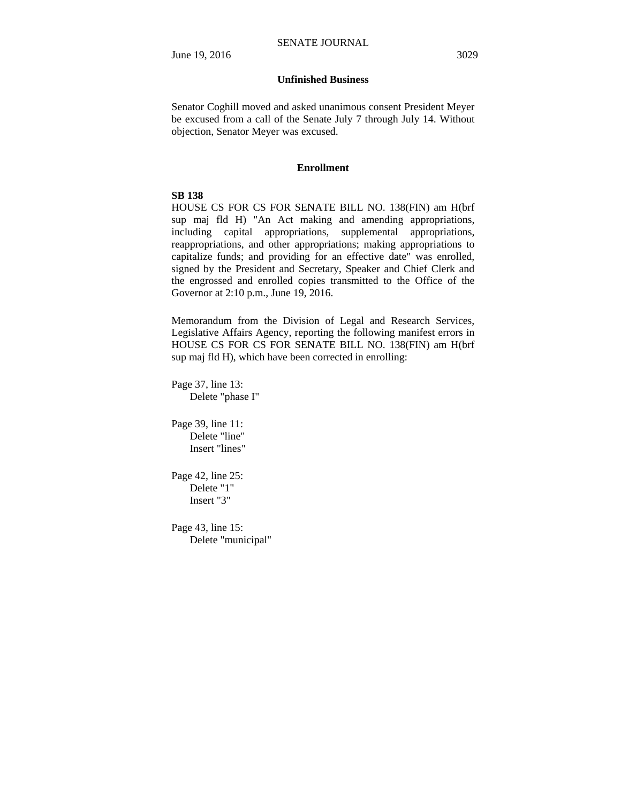# **Unfinished Business**

Senator Coghill moved and asked unanimous consent President Meyer be excused from a call of the Senate July 7 through July 14. Without objection, Senator Meyer was excused.

#### **Enrollment**

#### **SB 138**

HOUSE CS FOR CS FOR SENATE BILL NO. 138(FIN) am H(brf sup maj fld H) "An Act making and amending appropriations, including capital appropriations, supplemental appropriations, reappropriations, and other appropriations; making appropriations to capitalize funds; and providing for an effective date" was enrolled, signed by the President and Secretary, Speaker and Chief Clerk and the engrossed and enrolled copies transmitted to the Office of the Governor at 2:10 p.m., June 19, 2016.

Memorandum from the Division of Legal and Research Services, Legislative Affairs Agency, reporting the following manifest errors in HOUSE CS FOR CS FOR SENATE BILL NO. 138(FIN) am H(brf sup maj fld H), which have been corrected in enrolling:

Page 37, line 13: Delete "phase I"

Page 39, line 11: Delete "line" Insert "lines"

Page 42, line 25: Delete "1" Insert "3"

Page 43, line 15: Delete "municipal"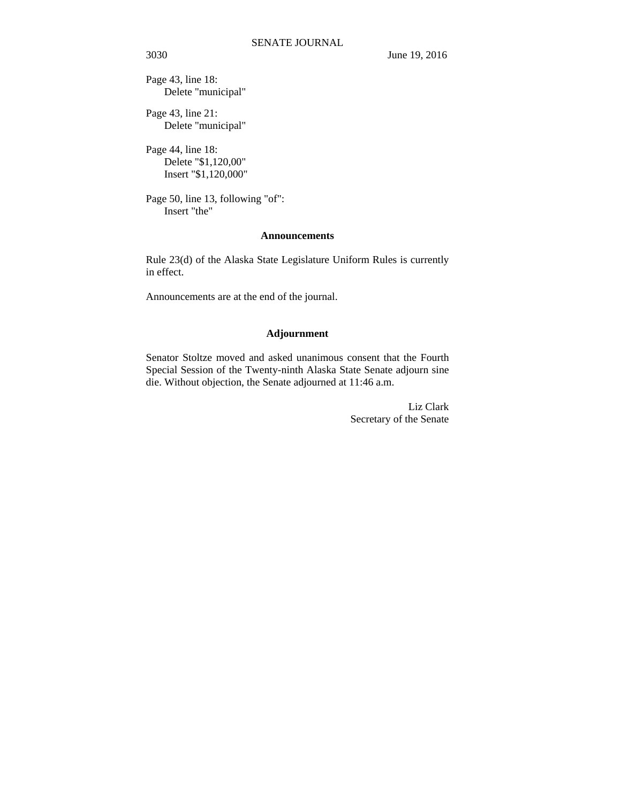Page 43, line 18: Delete "municipal"

Page 43, line 21: Delete "municipal"

Page 44, line 18: Delete "\$1,120,00" Insert "\$1,120,000"

Page 50, line 13, following "of": Insert "the"

### **Announcements**

Rule 23(d) of the Alaska State Legislature Uniform Rules is currently in effect.

Announcements are at the end of the journal.

# **Adjournment**

Senator Stoltze moved and asked unanimous consent that the Fourth Special Session of the Twenty-ninth Alaska State Senate adjourn sine die. Without objection, the Senate adjourned at 11:46 a.m.

> Liz Clark Secretary of the Senate